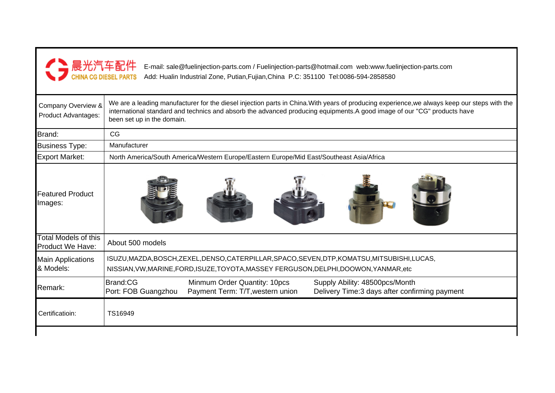| ▶ 晨光汽车配件                                  | E-mail: sale@fuelinjection-parts.com / Fuelinjection-parts@hotmail.com web:www.fuelinjection-parts.com<br>Add: Hualin Industrial Zone, Putian, Fujian, China P.C: 351100 Tel:0086-594-2858580                                                                                                          |  |  |  |  |  |  |
|-------------------------------------------|--------------------------------------------------------------------------------------------------------------------------------------------------------------------------------------------------------------------------------------------------------------------------------------------------------|--|--|--|--|--|--|
| Company Overview &<br>Product Advantages: | We are a leading manufacturer for the diesel injection parts in China. With years of producing experience, we always keep our steps with the<br>international standard and technics and absorb the advanced producing equipments. A good image of our "CG" products have<br>been set up in the domain. |  |  |  |  |  |  |
| Brand:                                    | CG                                                                                                                                                                                                                                                                                                     |  |  |  |  |  |  |
| <b>Business Type:</b>                     | Manufacturer                                                                                                                                                                                                                                                                                           |  |  |  |  |  |  |
| <b>Export Market:</b>                     | North America/South America/Western Europe/Eastern Europe/Mid East/Southeast Asia/Africa                                                                                                                                                                                                               |  |  |  |  |  |  |
| <b>Featured Product</b><br>Images:        |                                                                                                                                                                                                                                                                                                        |  |  |  |  |  |  |
| Total Models of this<br>Product We Have:  | About 500 models                                                                                                                                                                                                                                                                                       |  |  |  |  |  |  |
| <b>Main Applications</b><br>& Models:     | ISUZU, MAZDA, BOSCH, ZEXEL, DENSO, CATERPILLAR, SPACO, SEVEN, DTP, KOMATSU, MITSUBISHI, LUCAS,<br>NISSIAN, VW, MARINE, FORD, ISUZE, TOYOTA, MASSEY FERGUSON, DELPHI, DOOWON, YANMAR, etc                                                                                                               |  |  |  |  |  |  |
| Remark:                                   | <b>Brand:CG</b><br>Minmum Order Quantity: 10pcs<br>Supply Ability: 48500pcs/Month<br>Port: FOB Guangzhou<br>Payment Term: T/T, western union<br>Delivery Time:3 days after confirming payment                                                                                                          |  |  |  |  |  |  |
| Certificatioin:                           | TS16949                                                                                                                                                                                                                                                                                                |  |  |  |  |  |  |
|                                           |                                                                                                                                                                                                                                                                                                        |  |  |  |  |  |  |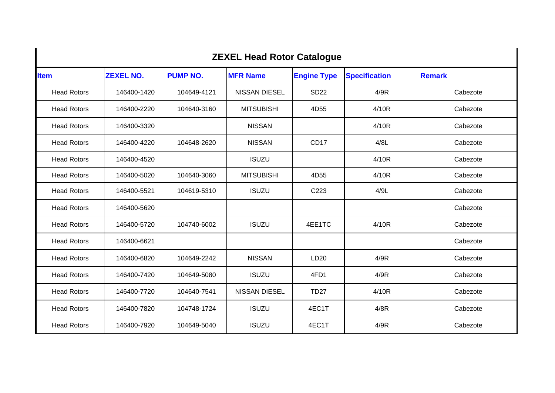| <b>ZEXEL Head Rotor Catalogue</b> |                  |                 |                      |                    |                      |               |  |
|-----------------------------------|------------------|-----------------|----------------------|--------------------|----------------------|---------------|--|
| <b>Item</b>                       | <b>ZEXEL NO.</b> | <b>PUMP NO.</b> | <b>MFR Name</b>      | <b>Engine Type</b> | <b>Specification</b> | <b>Remark</b> |  |
| <b>Head Rotors</b>                | 146400-1420      | 104649-4121     | <b>NISSAN DIESEL</b> | <b>SD22</b>        | 4/9R                 | Cabezote      |  |
| <b>Head Rotors</b>                | 146400-2220      | 104640-3160     | <b>MITSUBISHI</b>    | 4D55               | 4/10R                | Cabezote      |  |
| <b>Head Rotors</b>                | 146400-3320      |                 | <b>NISSAN</b>        |                    | 4/10R                | Cabezote      |  |
| <b>Head Rotors</b>                | 146400-4220      | 104648-2620     | <b>NISSAN</b>        | CD <sub>17</sub>   | 4/8L                 | Cabezote      |  |
| <b>Head Rotors</b>                | 146400-4520      |                 | <b>ISUZU</b>         |                    | 4/10R                | Cabezote      |  |
| <b>Head Rotors</b>                | 146400-5020      | 104640-3060     | <b>MITSUBISHI</b>    | 4D55               | 4/10R                | Cabezote      |  |
| <b>Head Rotors</b>                | 146400-5521      | 104619-5310     | <b>ISUZU</b>         | C223               | 4/9L                 | Cabezote      |  |
| <b>Head Rotors</b>                | 146400-5620      |                 |                      |                    |                      | Cabezote      |  |
| <b>Head Rotors</b>                | 146400-5720      | 104740-6002     | <b>ISUZU</b>         | 4EE1TC             | 4/10R                | Cabezote      |  |
| <b>Head Rotors</b>                | 146400-6621      |                 |                      |                    |                      | Cabezote      |  |
| <b>Head Rotors</b>                | 146400-6820      | 104649-2242     | <b>NISSAN</b>        | LD <sub>20</sub>   | 4/9R                 | Cabezote      |  |
| <b>Head Rotors</b>                | 146400-7420      | 104649-5080     | <b>ISUZU</b>         | 4FD1               | 4/9R                 | Cabezote      |  |
| <b>Head Rotors</b>                | 146400-7720      | 104640-7541     | <b>NISSAN DIESEL</b> | <b>TD27</b>        | 4/10R                | Cabezote      |  |
| <b>Head Rotors</b>                | 146400-7820      | 104748-1724     | <b>ISUZU</b>         | 4EC1T              | 4/8R                 | Cabezote      |  |
| <b>Head Rotors</b>                | 146400-7920      | 104649-5040     | <b>ISUZU</b>         | 4EC1T              | 4/9R                 | Cabezote      |  |

 $\blacksquare$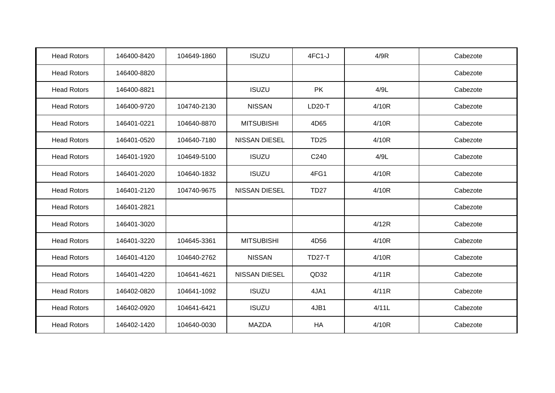| <b>Head Rotors</b> | 146400-8420 | 104649-1860 | <b>ISUZU</b>         | $4FC1-J$         | 4/9R  | Cabezote |
|--------------------|-------------|-------------|----------------------|------------------|-------|----------|
| <b>Head Rotors</b> | 146400-8820 |             |                      |                  |       | Cabezote |
| <b>Head Rotors</b> | 146400-8821 |             | <b>ISUZU</b>         | <b>PK</b>        | 4/9L  | Cabezote |
| <b>Head Rotors</b> | 146400-9720 | 104740-2130 | <b>NISSAN</b>        | LD20-T           | 4/10R | Cabezote |
| <b>Head Rotors</b> | 146401-0221 | 104640-8870 | <b>MITSUBISHI</b>    | 4D65             | 4/10R | Cabezote |
| <b>Head Rotors</b> | 146401-0520 | 104640-7180 | <b>NISSAN DIESEL</b> | <b>TD25</b>      | 4/10R | Cabezote |
| <b>Head Rotors</b> | 146401-1920 | 104649-5100 | <b>ISUZU</b>         | C <sub>240</sub> | 4/9L  | Cabezote |
| <b>Head Rotors</b> | 146401-2020 | 104640-1832 | <b>ISUZU</b>         | 4FG1             | 4/10R | Cabezote |
| <b>Head Rotors</b> | 146401-2120 | 104740-9675 | <b>NISSAN DIESEL</b> | <b>TD27</b>      | 4/10R | Cabezote |
| <b>Head Rotors</b> | 146401-2821 |             |                      |                  |       | Cabezote |
| <b>Head Rotors</b> | 146401-3020 |             |                      |                  | 4/12R | Cabezote |
| <b>Head Rotors</b> | 146401-3220 | 104645-3361 | <b>MITSUBISHI</b>    | 4D56             | 4/10R | Cabezote |
| <b>Head Rotors</b> | 146401-4120 | 104640-2762 | <b>NISSAN</b>        | <b>TD27-T</b>    | 4/10R | Cabezote |
| <b>Head Rotors</b> | 146401-4220 | 104641-4621 | <b>NISSAN DIESEL</b> | QD32             | 4/11R | Cabezote |
| <b>Head Rotors</b> | 146402-0820 | 104641-1092 | <b>ISUZU</b>         | 4JA1             | 4/11R | Cabezote |
| <b>Head Rotors</b> | 146402-0920 | 104641-6421 | <b>ISUZU</b>         | 4JB1             | 4/11L | Cabezote |
| <b>Head Rotors</b> | 146402-1420 | 104640-0030 | <b>MAZDA</b>         | HA               | 4/10R | Cabezote |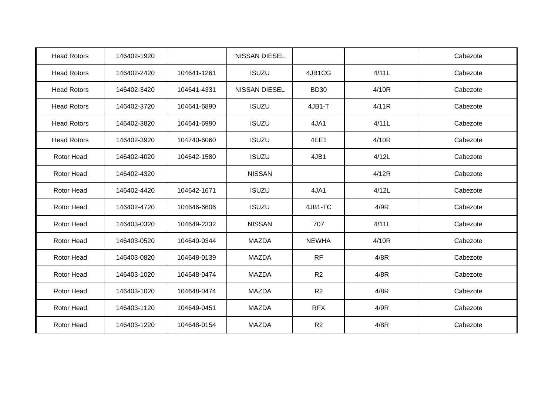| <b>Head Rotors</b> | 146402-1920 |             | <b>NISSAN DIESEL</b> |                |       | Cabezote |
|--------------------|-------------|-------------|----------------------|----------------|-------|----------|
| <b>Head Rotors</b> | 146402-2420 | 104641-1261 | <b>ISUZU</b>         | 4JB1CG         | 4/11L | Cabezote |
| <b>Head Rotors</b> | 146402-3420 | 104641-4331 | <b>NISSAN DIESEL</b> | <b>BD30</b>    | 4/10R | Cabezote |
| <b>Head Rotors</b> | 146402-3720 | 104641-6890 | <b>ISUZU</b>         | 4JB1-T         | 4/11R | Cabezote |
| <b>Head Rotors</b> | 146402-3820 | 104641-6990 | <b>ISUZU</b>         | 4JA1           | 4/11L | Cabezote |
| <b>Head Rotors</b> | 146402-3920 | 104740-6060 | <b>ISUZU</b>         | 4EE1           | 4/10R | Cabezote |
| Rotor Head         | 146402-4020 | 104642-1580 | <b>ISUZU</b>         | 4JB1           | 4/12L | Cabezote |
| Rotor Head         | 146402-4320 |             | <b>NISSAN</b>        |                | 4/12R | Cabezote |
| Rotor Head         | 146402-4420 | 104642-1671 | <b>ISUZU</b>         | 4JA1           | 4/12L | Cabezote |
| Rotor Head         | 146402-4720 | 104646-6606 | <b>ISUZU</b>         | 4JB1-TC        | 4/9R  | Cabezote |
| <b>Rotor Head</b>  | 146403-0320 | 104649-2332 | <b>NISSAN</b>        | 707            | 4/11L | Cabezote |
| Rotor Head         | 146403-0520 | 104640-0344 | MAZDA                | <b>NEWHA</b>   | 4/10R | Cabezote |
| Rotor Head         | 146403-0820 | 104648-0139 | MAZDA                | <b>RF</b>      | 4/8R  | Cabezote |
| Rotor Head         | 146403-1020 | 104648-0474 | MAZDA                | R <sub>2</sub> | 4/8R  | Cabezote |
| Rotor Head         | 146403-1020 | 104648-0474 | <b>MAZDA</b>         | R2             | 4/8R  | Cabezote |
| Rotor Head         | 146403-1120 | 104649-0451 | <b>MAZDA</b>         | <b>RFX</b>     | 4/9R  | Cabezote |
| Rotor Head         | 146403-1220 | 104648-0154 | <b>MAZDA</b>         | R <sub>2</sub> | 4/8R  | Cabezote |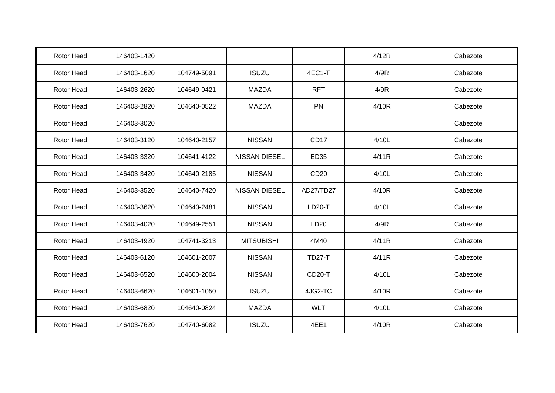| Rotor Head        | 146403-1420 |             |                      |                     | 4/12R | Cabezote |
|-------------------|-------------|-------------|----------------------|---------------------|-------|----------|
| Rotor Head        | 146403-1620 | 104749-5091 | <b>ISUZU</b>         | 4EC1-T              | 4/9R  | Cabezote |
| Rotor Head        | 146403-2620 | 104649-0421 | <b>MAZDA</b>         | <b>RFT</b>          | 4/9R  | Cabezote |
| Rotor Head        | 146403-2820 | 104640-0522 | <b>MAZDA</b>         | PN                  | 4/10R | Cabezote |
| Rotor Head        | 146403-3020 |             |                      |                     |       | Cabezote |
| Rotor Head        | 146403-3120 | 104640-2157 | <b>NISSAN</b>        | CD17                | 4/10L | Cabezote |
| Rotor Head        | 146403-3320 | 104641-4122 | NISSAN DIESEL        | ED35                | 4/11R | Cabezote |
| Rotor Head        | 146403-3420 | 104640-2185 | <b>NISSAN</b>        | CD <sub>20</sub>    | 4/10L | Cabezote |
| Rotor Head        | 146403-3520 | 104640-7420 | <b>NISSAN DIESEL</b> | AD27/TD27           | 4/10R | Cabezote |
| Rotor Head        | 146403-3620 | 104640-2481 | <b>NISSAN</b>        | <b>LD20-T</b>       | 4/10L | Cabezote |
| <b>Rotor Head</b> | 146403-4020 | 104649-2551 | <b>NISSAN</b>        | LD20                | 4/9R  | Cabezote |
| Rotor Head        | 146403-4920 | 104741-3213 | <b>MITSUBISHI</b>    | 4M40                | 4/11R | Cabezote |
| Rotor Head        | 146403-6120 | 104601-2007 | <b>NISSAN</b>        | <b>TD27-T</b>       | 4/11R | Cabezote |
| Rotor Head        | 146403-6520 | 104600-2004 | <b>NISSAN</b>        | CD <sub>20</sub> -T | 4/10L | Cabezote |
| Rotor Head        | 146403-6620 | 104601-1050 | <b>ISUZU</b>         | 4JG2-TC             | 4/10R | Cabezote |
| Rotor Head        | 146403-6820 | 104640-0824 | <b>MAZDA</b>         | <b>WLT</b>          | 4/10L | Cabezote |
| Rotor Head        | 146403-7620 | 104740-6082 | <b>ISUZU</b>         | 4EE1                | 4/10R | Cabezote |